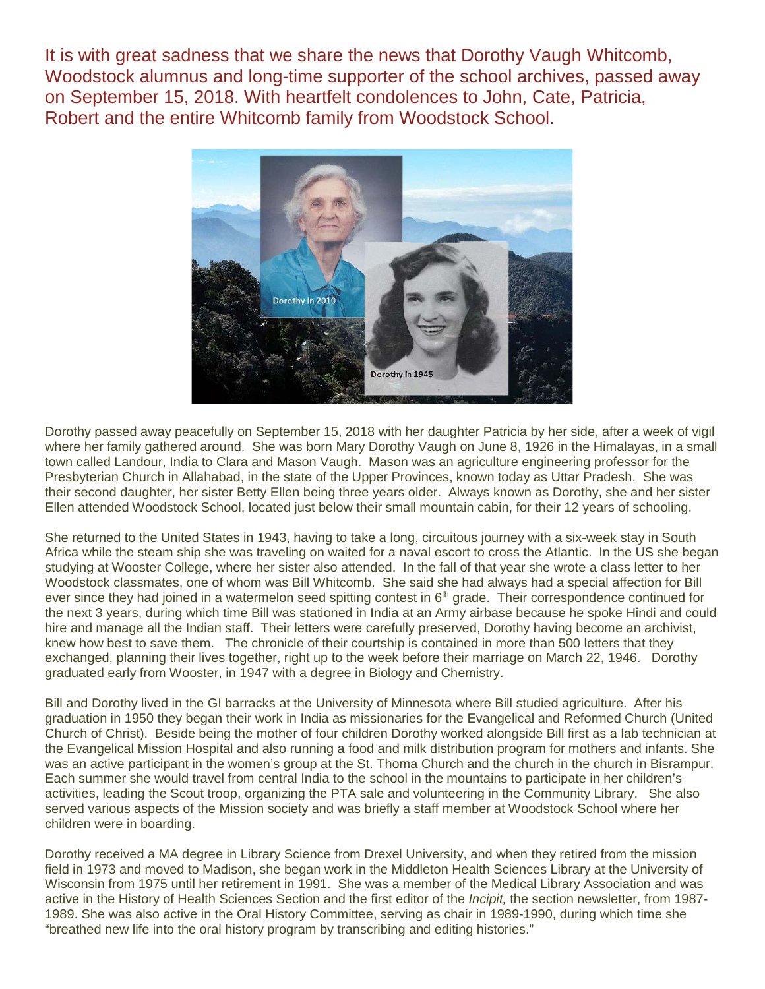It is with great sadness that we share the news that Dorothy Vaugh Whitcomb, Woodstock alumnus and long-time supporter of the school archives, passed away on September 15, 2018. With heartfelt condolences to John, Cate, Patricia, Robert and the entire Whitcomb family from Woodstock School.



Dorothy passed away peacefully on September 15, 2018 with her daughter Patricia by her side, after a week of vigil where her family gathered around. She was born Mary Dorothy Vaugh on June 8, 1926 in the Himalayas, in a small town called Landour, India to Clara and Mason Vaugh. Mason was an agriculture engineering professor for the Presbyterian Church in Allahabad, in the state of the Upper Provinces, known today as Uttar Pradesh. She was their second daughter, her sister Betty Ellen being three years older. Always known as Dorothy, she and her sister Ellen attended Woodstock School, located just below their small mountain cabin, for their 12 years of schooling.

She returned to the United States in 1943, having to take a long, circuitous journey with a six-week stay in South Africa while the steam ship she was traveling on waited for a naval escort to cross the Atlantic. In the US she began studying at Wooster College, where her sister also attended. In the fall of that year she wrote a class letter to her Woodstock classmates, one of whom was Bill Whitcomb. She said she had always had a special affection for Bill ever since they had joined in a watermelon seed spitting contest in 6<sup>th</sup> grade. Their correspondence continued for the next 3 years, during which time Bill was stationed in India at an Army airbase because he spoke Hindi and could hire and manage all the Indian staff. Their letters were carefully preserved, Dorothy having become an archivist, knew how best to save them. The chronicle of their courtship is contained in more than 500 letters that they exchanged, planning their lives together, right up to the week before their marriage on March 22, 1946. Dorothy graduated early from Wooster, in 1947 with a degree in Biology and Chemistry.

Bill and Dorothy lived in the GI barracks at the University of Minnesota where Bill studied agriculture. After his graduation in 1950 they began their work in India as missionaries for the Evangelical and Reformed Church (United Church of Christ). Beside being the mother of four children Dorothy worked alongside Bill first as a lab technician at the Evangelical Mission Hospital and also running a food and milk distribution program for mothers and infants. She was an active participant in the women's group at the St. Thoma Church and the church in the church in Bisrampur. Each summer she would travel from central India to the school in the mountains to participate in her children's activities, leading the Scout troop, organizing the PTA sale and volunteering in the Community Library. She also served various aspects of the Mission society and was briefly a staff member at Woodstock School where her children were in boarding.

Dorothy received a MA degree in Library Science from Drexel University, and when they retired from the mission field in 1973 and moved to Madison, she began work in the Middleton Health Sciences Library at the University of Wisconsin from 1975 until her retirement in 1991. She was a member of the Medical Library Association and was active in the History of Health Sciences Section and the first editor of the *Incipit,* the section newsletter, from 1987- 1989. She was also active in the Oral History Committee, serving as chair in 1989-1990, during which time she "breathed new life into the oral history program by transcribing and editing histories."